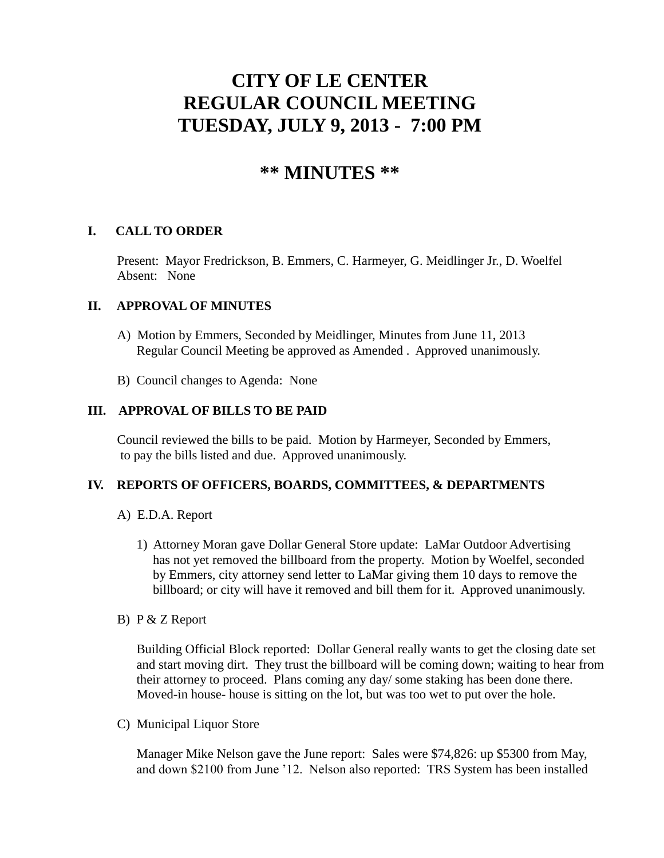# **CITY OF LE CENTER REGULAR COUNCIL MEETING TUESDAY, JULY 9, 2013 - 7:00 PM**

# **\*\* MINUTES \*\***

# **I. CALL TO ORDER**

Present: Mayor Fredrickson, B. Emmers, C. Harmeyer, G. Meidlinger Jr., D. Woelfel Absent: None

# **II. APPROVAL OF MINUTES**

- A) Motion by Emmers, Seconded by Meidlinger, Minutes from June 11, 2013 Regular Council Meeting be approved as Amended . Approved unanimously.
- B) Council changes to Agenda: None

# **III. APPROVAL OF BILLS TO BE PAID**

Council reviewed the bills to be paid. Motion by Harmeyer, Seconded by Emmers, to pay the bills listed and due. Approved unanimously.

#### **IV. REPORTS OF OFFICERS, BOARDS, COMMITTEES, & DEPARTMENTS**

- A) E.D.A. Report
	- 1) Attorney Moran gave Dollar General Store update: LaMar Outdoor Advertising has not yet removed the billboard from the property. Motion by Woelfel, seconded by Emmers, city attorney send letter to LaMar giving them 10 days to remove the billboard; or city will have it removed and bill them for it. Approved unanimously.
- B) P & Z Report

 Building Official Block reported: Dollar General really wants to get the closing date set and start moving dirt. They trust the billboard will be coming down; waiting to hear from their attorney to proceed. Plans coming any day/ some staking has been done there. Moved-in house- house is sitting on the lot, but was too wet to put over the hole.

C) Municipal Liquor Store

Manager Mike Nelson gave the June report: Sales were \$74,826: up \$5300 from May, and down \$2100 from June '12. Nelson also reported: TRS System has been installed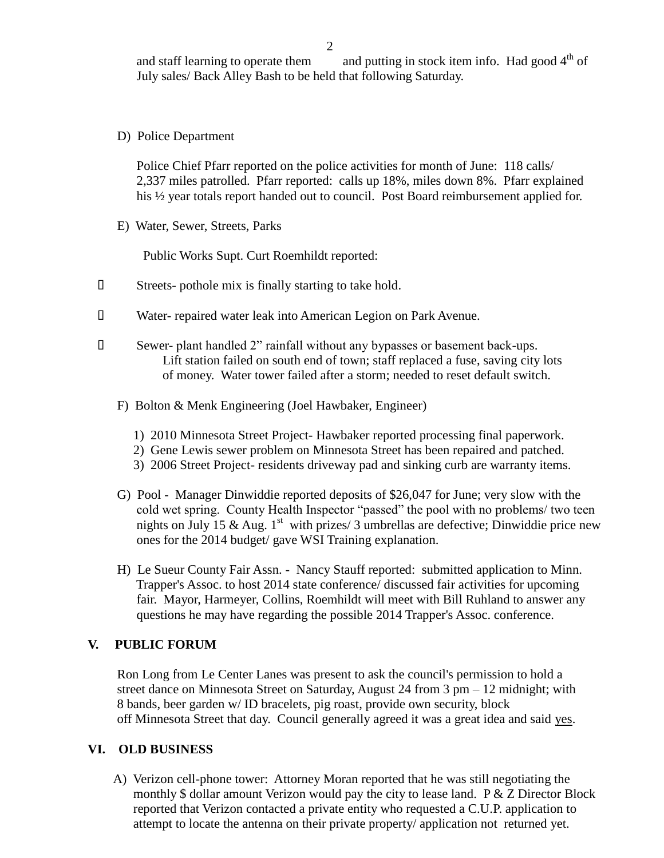and staff learning to operate them and putting in stock item info. Had good  $4<sup>th</sup>$  of July sales/ Back Alley Bash to be held that following Saturday.

D) Police Department

Police Chief Pfarr reported on the police activities for month of June: 118 calls/ 2,337 miles patrolled. Pfarr reported: calls up 18%, miles down 8%. Pfarr explained his ½ year totals report handed out to council. Post Board reimbursement applied for.

E) Water, Sewer, Streets, Parks

Public Works Supt. Curt Roemhildt reported:

- Streets- pothole mix is finally starting to take hold.
- Water- repaired water leak into American Legion on Park Avenue.
- Sewer- plant handled 2" rainfall without any bypasses or basement back-ups. Lift station failed on south end of town; staff replaced a fuse, saving city lots of money. Water tower failed after a storm; needed to reset default switch.
	- F) Bolton & Menk Engineering (Joel Hawbaker, Engineer)
		- 1) 2010 Minnesota Street Project- Hawbaker reported processing final paperwork.
		- 2) Gene Lewis sewer problem on Minnesota Street has been repaired and patched.
		- 3) 2006 Street Project- residents driveway pad and sinking curb are warranty items.
	- G) Pool Manager Dinwiddie reported deposits of \$26,047 for June; very slow with the cold wet spring. County Health Inspector "passed" the pool with no problems/ two teen nights on July 15 & Aug. 1<sup>st</sup> with prizes/ 3 umbrellas are defective; Dinwiddie price new ones for the 2014 budget/ gave WSI Training explanation.
	- H) Le Sueur County Fair Assn. Nancy Stauff reported: submitted application to Minn. Trapper's Assoc. to host 2014 state conference/ discussed fair activities for upcoming fair. Mayor, Harmeyer, Collins, Roemhildt will meet with Bill Ruhland to answer any questions he may have regarding the possible 2014 Trapper's Assoc. conference.

#### **V. PUBLIC FORUM**

 Ron Long from Le Center Lanes was present to ask the council's permission to hold a street dance on Minnesota Street on Saturday, August 24 from 3 pm – 12 midnight; with 8 bands, beer garden w/ ID bracelets, pig roast, provide own security, block off Minnesota Street that day. Council generally agreed it was a great idea and said yes.

#### **VI. OLD BUSINESS**

 A) Verizon cell-phone tower: Attorney Moran reported that he was still negotiating the monthly \$ dollar amount Verizon would pay the city to lease land. P & Z Director Block reported that Verizon contacted a private entity who requested a C.U.P. application to attempt to locate the antenna on their private property/ application not returned yet.